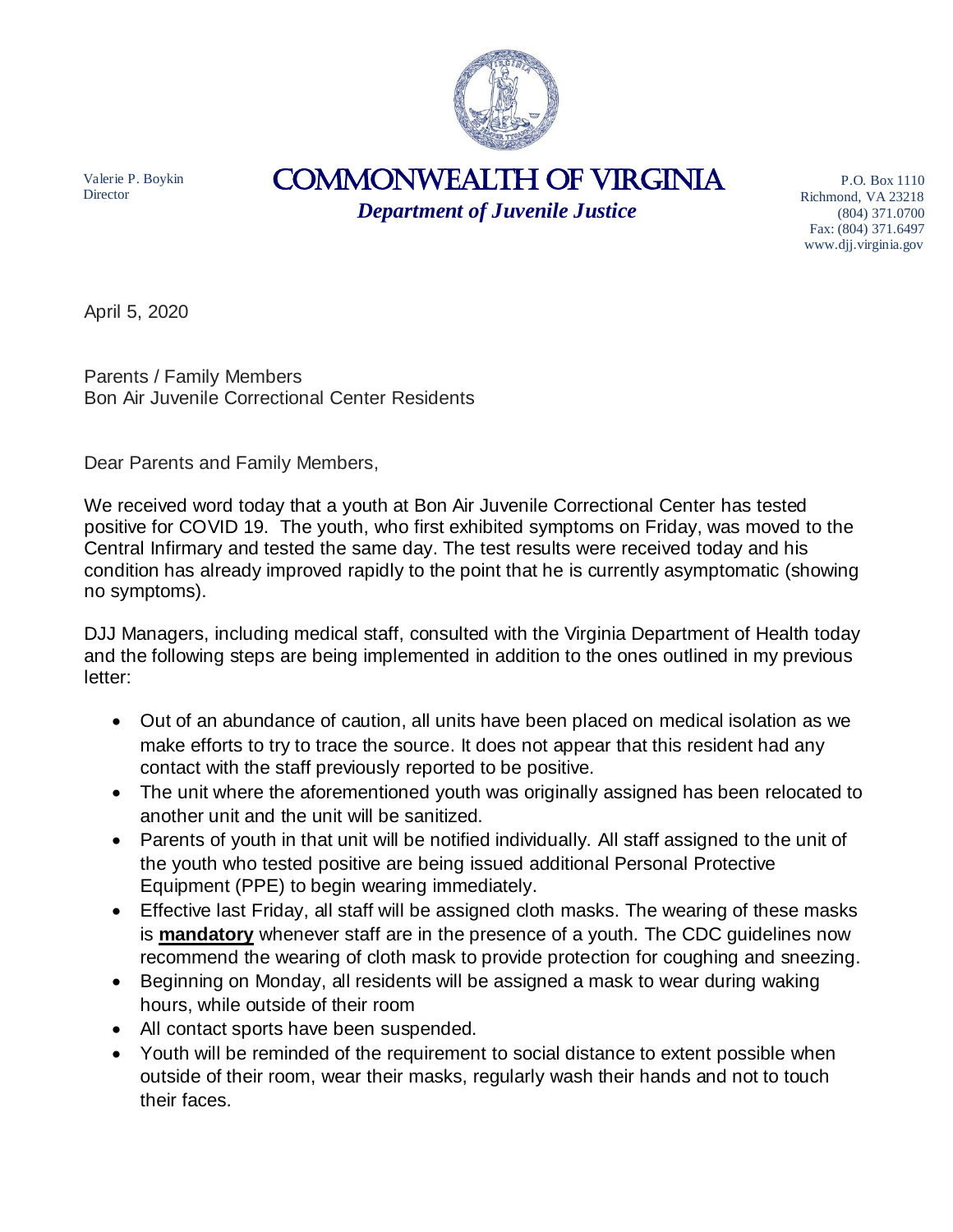

Valerie P. Boykin **Director** 

COMMONWEALTH of VIRGINIA *Department of Juvenile Justice*

P.O. Box 1110 Richmond, VA 23218 (804) 371.0700 Fax: (804) 371.6497 www.djj.virginia.gov

April 5, 2020

Parents / Family Members Bon Air Juvenile Correctional Center Residents

Dear Parents and Family Members,

We received word today that a youth at Bon Air Juvenile Correctional Center has tested positive for COVID 19. The youth, who first exhibited symptoms on Friday, was moved to the Central Infirmary and tested the same day. The test results were received today and his condition has already improved rapidly to the point that he is currently asymptomatic (showing no symptoms).

DJJ Managers, including medical staff, consulted with the Virginia Department of Health today and the following steps are being implemented in addition to the ones outlined in my previous letter:

- Out of an abundance of caution, all units have been placed on medical isolation as we make efforts to try to trace the source. It does not appear that this resident had any contact with the staff previously reported to be positive.
- The unit where the aforementioned youth was originally assigned has been relocated to another unit and the unit will be sanitized.
- Parents of youth in that unit will be notified individually. All staff assigned to the unit of the youth who tested positive are being issued additional Personal Protective Equipment (PPE) to begin wearing immediately.
- Effective last Friday, all staff will be assigned cloth masks. The wearing of these masks is **mandatory** whenever staff are in the presence of a youth. The CDC guidelines now recommend the wearing of cloth mask to provide protection for coughing and sneezing.
- Beginning on Monday, all residents will be assigned a mask to wear during waking hours, while outside of their room
- All contact sports have been suspended.
- Youth will be reminded of the requirement to social distance to extent possible when outside of their room, wear their masks, regularly wash their hands and not to touch their faces.